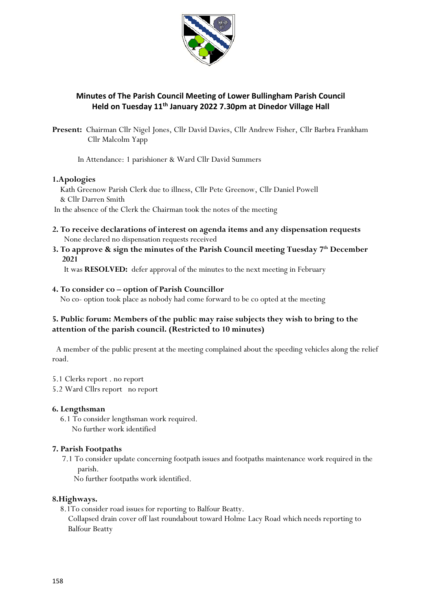

# **Minutes of The Parish Council Meeting of Lower Bullingham Parish Council Held on Tuesday 11th January 2022 7.30pm at Dinedor Village Hall**

**Present:** Chairman Cllr Nigel Jones, Cllr David Davies, Cllr Andrew Fisher, Cllr Barbra Frankham Cllr Malcolm Yapp

In Attendance: 1 parishioner & Ward Cllr David Summers

#### **1.Apologies**

 Kath Greenow Parish Clerk due to illness, Cllr Pete Greenow, Cllr Daniel Powell & Cllr Darren Smith In the absence of the Clerk the Chairman took the notes of the meeting

- **2. To receive declarations of interest on agenda items and any dispensation requests** None declared no dispensation requests received
- **3. To approve & sign the minutes of the Parish Council meeting Tuesday 7 th December 2021**

It was **RESOLVED:** defer approval of the minutes to the next meeting in February

#### **4. To consider co – option of Parish Councillor**

No co- option took place as nobody had come forward to be co opted at the meeting

## **5. Public forum: Members of the public may raise subjects they wish to bring to the attention of the parish council. (Restricted to 10 minutes)**

 A member of the public present at the meeting complained about the speeding vehicles along the relief road.

- 5.1 Clerks report . no report
- 5.2 Ward Cllrs report no report

#### **6. Lengthsman**

 6.1 To consider lengthsman work required. No further work identified

## **7. Parish Footpaths**

7.1 To consider update concerning footpath issues and footpaths maintenance work required in the parish.

No further footpaths work identified.

#### **8.Highways.**

 8.1To consider road issues for reporting to Balfour Beatty. Collapsed drain cover off last roundabout toward Holme Lacy Road which needs reporting to Balfour Beatty